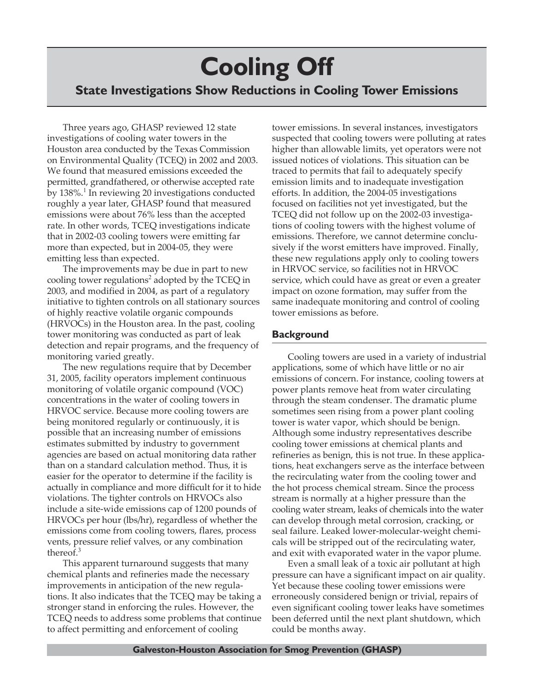# **Cooling Off State Investigations Show Reductions in Cooling Tower Emissions**

Three years ago, GHASP reviewed 12 state investigations of cooling water towers in the Houston area conducted by the Texas Commission on Environmental Quality (TCEQ) in 2002 and 2003. We found that measured emissions exceeded the permitted, grandfathered, or otherwise accepted rate by 138%.<sup>1</sup> In reviewing 20 investigations conducted roughly a year later, GHASP found that measured emissions were about 76% less than the accepted rate. In other words, TCEQ investigations indicate that in 2002-03 cooling towers were emitting far more than expected, but in 2004-05, they were emitting less than expected.

The improvements may be due in part to new cooling tower regulations<sup>2</sup> adopted by the TCEQ in 2003, and modified in 2004, as part of a regulatory initiative to tighten controls on all stationary sources of highly reactive volatile organic compounds (HRVOCs) in the Houston area. In the past, cooling tower monitoring was conducted as part of leak detection and repair programs, and the frequency of monitoring varied greatly.

The new regulations require that by December 31, 2005, facility operators implement continuous monitoring of volatile organic compound (VOC) concentrations in the water of cooling towers in HRVOC service. Because more cooling towers are being monitored regularly or continuously, it is possible that an increasing number of emissions estimates submitted by industry to government agencies are based on actual monitoring data rather than on a standard calculation method. Thus, it is easier for the operator to determine if the facility is actually in compliance and more difficult for it to hide violations. The tighter controls on HRVOCs also include a site-wide emissions cap of 1200 pounds of HRVOCs per hour (lbs/hr), regardless of whether the emissions come from cooling towers, flares, process vents, pressure relief valves, or any combination thereof.<sup>3</sup>

This apparent turnaround suggests that many chemical plants and refineries made the necessary improvements in anticipation of the new regulations. It also indicates that the TCEQ may be taking a stronger stand in enforcing the rules. However, the TCEQ needs to address some problems that continue to affect permitting and enforcement of cooling

tower emissions. In several instances, investigators suspected that cooling towers were polluting at rates higher than allowable limits, yet operators were not issued notices of violations. This situation can be traced to permits that fail to adequately specify emission limits and to inadequate investigation efforts. In addition, the 2004-05 investigations focused on facilities not yet investigated, but the TCEQ did not follow up on the 2002-03 investigations of cooling towers with the highest volume of emissions. Therefore, we cannot determine conclusively if the worst emitters have improved. Finally, these new regulations apply only to cooling towers in HRVOC service, so facilities not in HRVOC service, which could have as great or even a greater impact on ozone formation, may suffer from the same inadequate monitoring and control of cooling tower emissions as before.

### **Background**

Cooling towers are used in a variety of industrial applications, some of which have little or no air emissions of concern. For instance, cooling towers at power plants remove heat from water circulating through the steam condenser. The dramatic plume sometimes seen rising from a power plant cooling tower is water vapor, which should be benign. Although some industry representatives describe cooling tower emissions at chemical plants and refineries as benign, this is not true. In these applications, heat exchangers serve as the interface between the recirculating water from the cooling tower and the hot process chemical stream. Since the process stream is normally at a higher pressure than the cooling water stream, leaks of chemicals into the water can develop through metal corrosion, cracking, or seal failure. Leaked lower-molecular-weight chemicals will be stripped out of the recirculating water, and exit with evaporated water in the vapor plume.

Even a small leak of a toxic air pollutant at high pressure can have a significant impact on air quality. Yet because these cooling tower emissions were erroneously considered benign or trivial, repairs of even significant cooling tower leaks have sometimes been deferred until the next plant shutdown, which could be months away.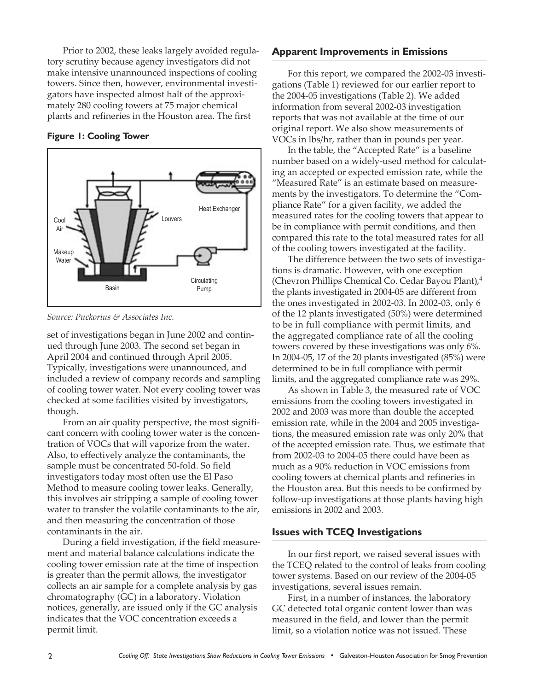Prior to 2002, these leaks largely avoided regulatory scrutiny because agency investigators did not make intensive unannounced inspections of cooling towers. Since then, however, environmental investigators have inspected almost half of the approximately 280 cooling towers at 75 major chemical plants and refineries in the Houston area. The first

#### **Figure 1: Cooling Tower**



*Source: Puckorius & Associates Inc.*

set of investigations began in June 2002 and continued through June 2003. The second set began in April 2004 and continued through April 2005. Typically, investigations were unannounced, and included a review of company records and sampling of cooling tower water. Not every cooling tower was checked at some facilities visited by investigators, though.

From an air quality perspective, the most significant concern with cooling tower water is the concentration of VOCs that will vaporize from the water. Also, to effectively analyze the contaminants, the sample must be concentrated 50-fold. So field investigators today most often use the El Paso Method to measure cooling tower leaks. Generally, this involves air stripping a sample of cooling tower water to transfer the volatile contaminants to the air, and then measuring the concentration of those contaminants in the air.

During a field investigation, if the field measurement and material balance calculations indicate the cooling tower emission rate at the time of inspection is greater than the permit allows, the investigator collects an air sample for a complete analysis by gas chromatography (GC) in a laboratory. Violation notices, generally, are issued only if the GC analysis indicates that the VOC concentration exceeds a permit limit.

#### **Apparent Improvements in Emissions**

For this report, we compared the 2002-03 investigations (Table 1) reviewed for our earlier report to the 2004-05 investigations (Table 2). We added information from several 2002-03 investigation reports that was not available at the time of our original report. We also show measurements of VOCs in lbs/hr, rather than in pounds per year.

In the table, the "Accepted Rate" is a baseline number based on a widely-used method for calculating an accepted or expected emission rate, while the "Measured Rate" is an estimate based on measurements by the investigators. To determine the "Compliance Rate" for a given facility, we added the measured rates for the cooling towers that appear to be in compliance with permit conditions, and then compared this rate to the total measured rates for all of the cooling towers investigated at the facility.

The difference between the two sets of investigations is dramatic. However, with one exception (Chevron Phillips Chemical Co. Cedar Bayou Plant),<sup>4</sup> the plants investigated in 2004-05 are different from the ones investigated in 2002-03. In 2002-03, only 6 of the 12 plants investigated (50%) were determined to be in full compliance with permit limits, and the aggregated compliance rate of all the cooling towers covered by these investigations was only 6%. In 2004-05, 17 of the 20 plants investigated (85%) were determined to be in full compliance with permit limits, and the aggregated compliance rate was 29%.

As shown in Table 3, the measured rate of VOC emissions from the cooling towers investigated in 2002 and 2003 was more than double the accepted emission rate, while in the 2004 and 2005 investigations, the measured emission rate was only 20% that of the accepted emission rate. Thus, we estimate that from 2002-03 to 2004-05 there could have been as much as a 90% reduction in VOC emissions from cooling towers at chemical plants and refineries in the Houston area. But this needs to be confirmed by follow-up investigations at those plants having high emissions in 2002 and 2003.

#### **Issues with TCEQ Investigations**

In our first report, we raised several issues with the TCEQ related to the control of leaks from cooling tower systems. Based on our review of the 2004-05 investigations, several issues remain.

First, in a number of instances, the laboratory GC detected total organic content lower than was measured in the field, and lower than the permit limit, so a violation notice was not issued. These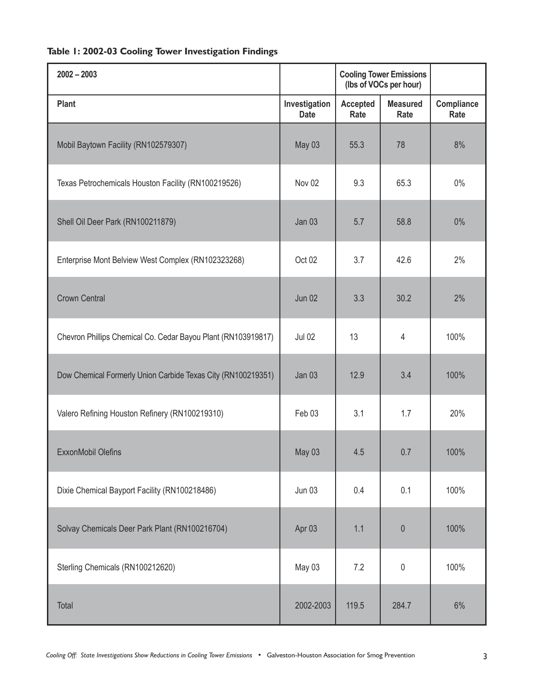## **Table 1: 2002-03 Cooling Tower Investigation Findings**

| $2002 - 2003$                                                 |                              | <b>Cooling Tower Emissions</b><br>(lbs of VOCs per hour) |                         |                    |
|---------------------------------------------------------------|------------------------------|----------------------------------------------------------|-------------------------|--------------------|
| Plant                                                         | Investigation<br><b>Date</b> | <b>Accepted</b><br>Rate                                  | <b>Measured</b><br>Rate | Compliance<br>Rate |
| Mobil Baytown Facility (RN102579307)                          | May 03                       | 55.3                                                     | 78                      | 8%                 |
| Texas Petrochemicals Houston Facility (RN100219526)           | Nov 02                       | 9.3                                                      | 65.3                    | $0\%$              |
| Shell Oil Deer Park (RN100211879)                             | Jan 03                       | 5.7                                                      | 58.8                    | 0%                 |
| Enterprise Mont Belview West Complex (RN102323268)            | Oct 02                       | 3.7                                                      | 42.6                    | 2%                 |
| <b>Crown Central</b>                                          | <b>Jun 02</b>                | 3.3                                                      | 30.2                    | 2%                 |
| Chevron Phillips Chemical Co. Cedar Bayou Plant (RN103919817) | <b>Jul 02</b>                | 13                                                       | 4                       | 100%               |
| Dow Chemical Formerly Union Carbide Texas City (RN100219351)  | Jan 03                       | 12.9                                                     | 3.4                     | 100%               |
| Valero Refining Houston Refinery (RN100219310)                | Feb 03                       | 3.1                                                      | 1.7                     | 20%                |
| <b>ExxonMobil Olefins</b>                                     | May 03                       | 4.5                                                      | 0.7                     | 100%               |
| Dixie Chemical Bayport Facility (RN100218486)                 | <b>Jun 03</b>                | 0.4                                                      | 0.1                     | 100%               |
| Solvay Chemicals Deer Park Plant (RN100216704)                | Apr 03                       | 1.1                                                      | $\theta$                | 100%               |
| Sterling Chemicals (RN100212620)                              | May 03                       | 7.2                                                      | $\mathbf 0$             | 100%               |
| Total                                                         | 2002-2003                    | 119.5                                                    | 284.7                   | 6%                 |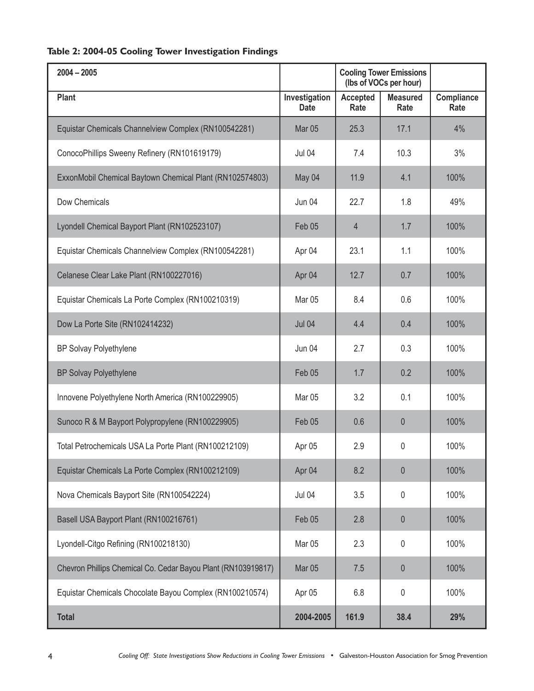## **Table 2: 2004-05 Cooling Tower Investigation Findings**

| $2004 - 2005$                                                 |                              | <b>Cooling Tower Emissions</b><br>(lbs of VOCs per hour) |                         |                    |
|---------------------------------------------------------------|------------------------------|----------------------------------------------------------|-------------------------|--------------------|
| Plant                                                         | Investigation<br><b>Date</b> | <b>Accepted</b><br>Rate                                  | <b>Measured</b><br>Rate | Compliance<br>Rate |
| Equistar Chemicals Channelview Complex (RN100542281)          | <b>Mar 05</b>                | 25.3                                                     | 17.1                    | 4%                 |
| ConocoPhillips Sweeny Refinery (RN101619179)                  | <b>Jul 04</b>                | 7.4                                                      | 10.3                    | 3%                 |
| ExxonMobil Chemical Baytown Chemical Plant (RN102574803)      | May 04                       | 11.9                                                     | 4.1                     | 100%               |
| Dow Chemicals                                                 | Jun 04                       | 22.7                                                     | 1.8                     | 49%                |
| Lyondell Chemical Bayport Plant (RN102523107)                 | Feb 05                       | 4                                                        | 1.7                     | 100%               |
| Equistar Chemicals Channelview Complex (RN100542281)          | Apr 04                       | 23.1                                                     | 1.1                     | 100%               |
| Celanese Clear Lake Plant (RN100227016)                       | Apr 04                       | 12.7                                                     | 0.7                     | 100%               |
| Equistar Chemicals La Porte Complex (RN100210319)             | <b>Mar 05</b>                | 8.4                                                      | 0.6                     | 100%               |
| Dow La Porte Site (RN102414232)                               | <b>Jul 04</b>                | 4.4                                                      | 0.4                     | 100%               |
| <b>BP Solvay Polyethylene</b>                                 | Jun 04                       | 2.7                                                      | 0.3                     | 100%               |
| <b>BP Solvay Polyethylene</b>                                 | Feb 05                       | 1.7                                                      | 0.2                     | 100%               |
| Innovene Polyethylene North America (RN100229905)             | Mar <sub>05</sub>            | 3.2                                                      | 0.1                     | 100%               |
| Sunoco R & M Bayport Polypropylene (RN100229905)              | Feb 05                       | 0.6                                                      | $\theta$                | 100%               |
| Total Petrochemicals USA La Porte Plant (RN100212109)         | Apr 05                       | 2.9                                                      | 0                       | 100%               |
| Equistar Chemicals La Porte Complex (RN100212109)             | Apr 04                       | 8.2                                                      | $\theta$                | 100%               |
| Nova Chemicals Bayport Site (RN100542224)                     | <b>Jul 04</b>                | 3.5                                                      | 0                       | 100%               |
| Basell USA Bayport Plant (RN100216761)                        | Feb 05                       | 2.8                                                      | $\theta$                | 100%               |
| Lyondell-Citgo Refining (RN100218130)                         | Mar <sub>05</sub>            | 2.3                                                      | 0                       | 100%               |
| Chevron Phillips Chemical Co. Cedar Bayou Plant (RN103919817) | Mar <sub>05</sub>            | 7.5                                                      | $\theta$                | 100%               |
| Equistar Chemicals Chocolate Bayou Complex (RN100210574)      | Apr 05                       | 6.8                                                      | 0                       | 100%               |
| <b>Total</b>                                                  | 2004-2005                    | 161.9                                                    | 38.4                    | 29%                |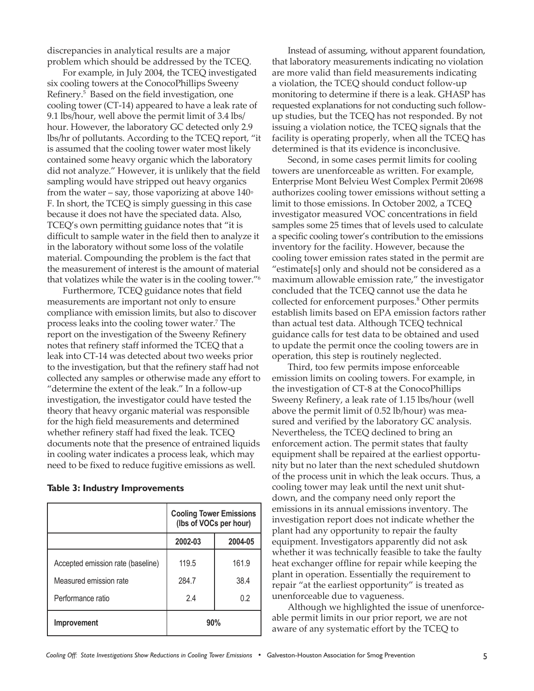discrepancies in analytical results are a major problem which should be addressed by the TCEQ.

For example, in July 2004, the TCEQ investigated six cooling towers at the ConocoPhillips Sweeny Refinery.5 Based on the field investigation, one cooling tower (CT-14) appeared to have a leak rate of 9.1 lbs/hour, well above the permit limit of 3.4 lbs/ hour. However, the laboratory GC detected only 2.9 lbs/hr of pollutants. According to the TCEQ report, "it is assumed that the cooling tower water most likely contained some heavy organic which the laboratory did not analyze." However, it is unlikely that the field sampling would have stripped out heavy organics from the water – say, those vaporizing at above  $140°$ F. In short, the TCEQ is simply guessing in this case because it does not have the speciated data. Also, TCEQ's own permitting guidance notes that "it is difficult to sample water in the field then to analyze it in the laboratory without some loss of the volatile material. Compounding the problem is the fact that the measurement of interest is the amount of material that volatizes while the water is in the cooling tower."6

Furthermore, TCEQ guidance notes that field measurements are important not only to ensure compliance with emission limits, but also to discover process leaks into the cooling tower water.7 The report on the investigation of the Sweeny Refinery notes that refinery staff informed the TCEQ that a leak into CT-14 was detected about two weeks prior to the investigation, but that the refinery staff had not collected any samples or otherwise made any effort to "determine the extent of the leak." In a follow-up investigation, the investigator could have tested the theory that heavy organic material was responsible for the high field measurements and determined whether refinery staff had fixed the leak. TCEQ documents note that the presence of entrained liquids in cooling water indicates a process leak, which may need to be fixed to reduce fugitive emissions as well.

| Table 3: Industry Improvements |  |
|--------------------------------|--|
|--------------------------------|--|

|                                   | <b>Cooling Tower Emissions</b><br>(lbs of VOCs per hour) |         |  |
|-----------------------------------|----------------------------------------------------------|---------|--|
|                                   | 2002-03                                                  | 2004-05 |  |
| Accepted emission rate (baseline) | 119.5                                                    | 161.9   |  |
| Measured emission rate            | 284.7                                                    | 38.4    |  |
| Performance ratio                 | 2.4                                                      | 0.2     |  |
| Improvement                       | 90%                                                      |         |  |

Instead of assuming, without apparent foundation, that laboratory measurements indicating no violation are more valid than field measurements indicating a violation, the TCEQ should conduct follow-up monitoring to determine if there is a leak. GHASP has requested explanations for not conducting such followup studies, but the TCEQ has not responded. By not issuing a violation notice, the TCEQ signals that the facility is operating properly, when all the TCEQ has determined is that its evidence is inconclusive.

Second, in some cases permit limits for cooling towers are unenforceable as written. For example, Enterprise Mont Belvieu West Complex Permit 20698 authorizes cooling tower emissions without setting a limit to those emissions. In October 2002, a TCEQ investigator measured VOC concentrations in field samples some 25 times that of levels used to calculate a specific cooling tower's contribution to the emissions inventory for the facility. However, because the cooling tower emission rates stated in the permit are "estimate[s] only and should not be considered as a maximum allowable emission rate," the investigator concluded that the TCEQ cannot use the data he collected for enforcement purposes.<sup>8</sup> Other permits establish limits based on EPA emission factors rather than actual test data. Although TCEQ technical guidance calls for test data to be obtained and used to update the permit once the cooling towers are in operation, this step is routinely neglected.

Third, too few permits impose enforceable emission limits on cooling towers. For example, in the investigation of CT-8 at the ConocoPhillips Sweeny Refinery, a leak rate of 1.15 lbs/hour (well above the permit limit of 0.52 lb/hour) was measured and verified by the laboratory GC analysis. Nevertheless, the TCEQ declined to bring an enforcement action. The permit states that faulty equipment shall be repaired at the earliest opportunity but no later than the next scheduled shutdown of the process unit in which the leak occurs. Thus, a cooling tower may leak until the next unit shutdown, and the company need only report the emissions in its annual emissions inventory. The investigation report does not indicate whether the plant had any opportunity to repair the faulty equipment. Investigators apparently did not ask whether it was technically feasible to take the faulty heat exchanger offline for repair while keeping the plant in operation. Essentially the requirement to repair "at the earliest opportunity" is treated as unenforceable due to vagueness.

Although we highlighted the issue of unenforceable permit limits in our prior report, we are not aware of any systematic effort by the TCEQ to